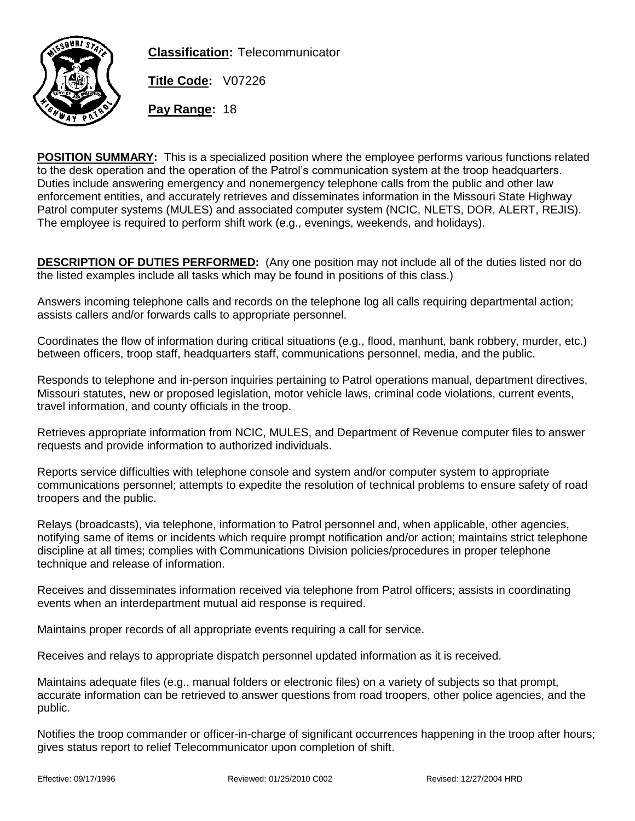

**Title Code:** V07226

**Pay Range:** 18

**POSITION SUMMARY:** This is a specialized position where the employee performs various functions related to the desk operation and the operation of the Patrol's communication system at the troop headquarters. Duties include answering emergency and nonemergency telephone calls from the public and other law enforcement entities, and accurately retrieves and disseminates information in the Missouri State Highway Patrol computer systems (MULES) and associated computer system (NCIC, NLETS, DOR, ALERT, REJIS). The employee is required to perform shift work (e.g., evenings, weekends, and holidays).

**DESCRIPTION OF DUTIES PERFORMED:** (Any one position may not include all of the duties listed nor do the listed examples include all tasks which may be found in positions of this class.)

Answers incoming telephone calls and records on the telephone log all calls requiring departmental action; assists callers and/or forwards calls to appropriate personnel.

Coordinates the flow of information during critical situations (e.g., flood, manhunt, bank robbery, murder, etc.) between officers, troop staff, headquarters staff, communications personnel, media, and the public.

Responds to telephone and in-person inquiries pertaining to Patrol operations manual, department directives, Missouri statutes, new or proposed legislation, motor vehicle laws, criminal code violations, current events, travel information, and county officials in the troop.

Retrieves appropriate information from NCIC, MULES, and Department of Revenue computer files to answer requests and provide information to authorized individuals.

Reports service difficulties with telephone console and system and/or computer system to appropriate communications personnel; attempts to expedite the resolution of technical problems to ensure safety of road troopers and the public.

Relays (broadcasts), via telephone, information to Patrol personnel and, when applicable, other agencies, notifying same of items or incidents which require prompt notification and/or action; maintains strict telephone discipline at all times; complies with Communications Division policies/procedures in proper telephone technique and release of information.

Receives and disseminates information received via telephone from Patrol officers; assists in coordinating events when an interdepartment mutual aid response is required.

Maintains proper records of all appropriate events requiring a call for service.

Receives and relays to appropriate dispatch personnel updated information as it is received.

Maintains adequate files (e.g., manual folders or electronic files) on a variety of subjects so that prompt, accurate information can be retrieved to answer questions from road troopers, other police agencies, and the public.

Notifies the troop commander or officer-in-charge of significant occurrences happening in the troop after hours; gives status report to relief Telecommunicator upon completion of shift.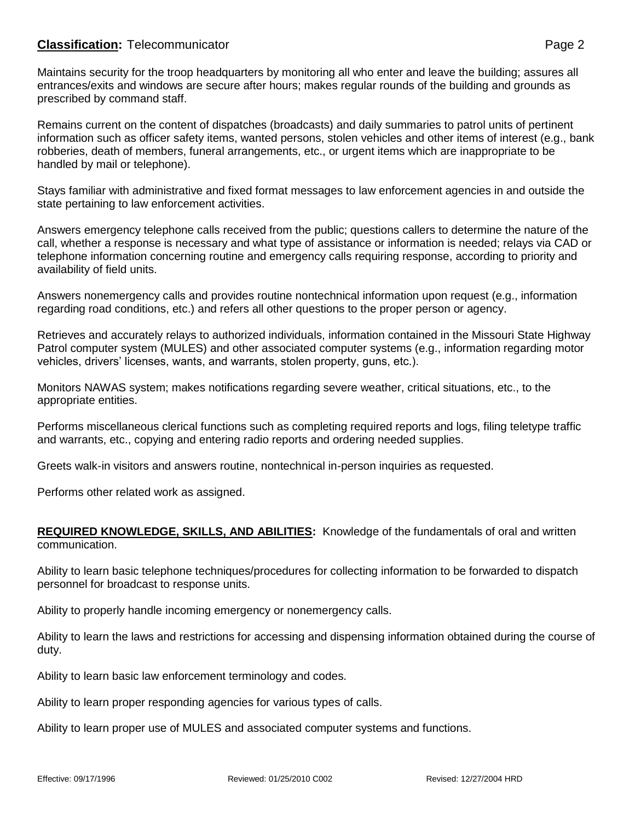Maintains security for the troop headquarters by monitoring all who enter and leave the building; assures all entrances/exits and windows are secure after hours; makes regular rounds of the building and grounds as prescribed by command staff.

Remains current on the content of dispatches (broadcasts) and daily summaries to patrol units of pertinent information such as officer safety items, wanted persons, stolen vehicles and other items of interest (e.g., bank robberies, death of members, funeral arrangements, etc., or urgent items which are inappropriate to be handled by mail or telephone).

Stays familiar with administrative and fixed format messages to law enforcement agencies in and outside the state pertaining to law enforcement activities.

Answers emergency telephone calls received from the public; questions callers to determine the nature of the call, whether a response is necessary and what type of assistance or information is needed; relays via CAD or telephone information concerning routine and emergency calls requiring response, according to priority and availability of field units.

Answers nonemergency calls and provides routine nontechnical information upon request (e.g., information regarding road conditions, etc.) and refers all other questions to the proper person or agency.

Retrieves and accurately relays to authorized individuals, information contained in the Missouri State Highway Patrol computer system (MULES) and other associated computer systems (e.g., information regarding motor vehicles, drivers' licenses, wants, and warrants, stolen property, guns, etc.).

Monitors NAWAS system; makes notifications regarding severe weather, critical situations, etc., to the appropriate entities.

Performs miscellaneous clerical functions such as completing required reports and logs, filing teletype traffic and warrants, etc., copying and entering radio reports and ordering needed supplies.

Greets walk-in visitors and answers routine, nontechnical in-person inquiries as requested.

Performs other related work as assigned.

#### **REQUIRED KNOWLEDGE, SKILLS, AND ABILITIES:** Knowledge of the fundamentals of oral and written communication.

Ability to learn basic telephone techniques/procedures for collecting information to be forwarded to dispatch personnel for broadcast to response units.

Ability to properly handle incoming emergency or nonemergency calls.

Ability to learn the laws and restrictions for accessing and dispensing information obtained during the course of duty.

Ability to learn basic law enforcement terminology and codes.

Ability to learn proper responding agencies for various types of calls.

Ability to learn proper use of MULES and associated computer systems and functions.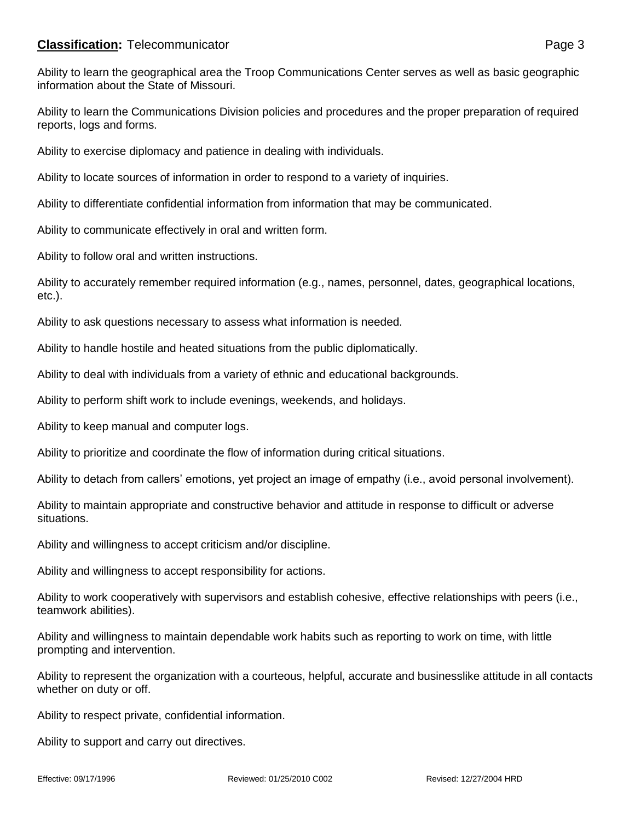Ability to learn the geographical area the Troop Communications Center serves as well as basic geographic information about the State of Missouri.

Ability to learn the Communications Division policies and procedures and the proper preparation of required reports, logs and forms.

Ability to exercise diplomacy and patience in dealing with individuals.

Ability to locate sources of information in order to respond to a variety of inquiries.

Ability to differentiate confidential information from information that may be communicated.

Ability to communicate effectively in oral and written form.

Ability to follow oral and written instructions.

Ability to accurately remember required information (e.g., names, personnel, dates, geographical locations, etc.).

Ability to ask questions necessary to assess what information is needed.

Ability to handle hostile and heated situations from the public diplomatically.

Ability to deal with individuals from a variety of ethnic and educational backgrounds.

Ability to perform shift work to include evenings, weekends, and holidays.

Ability to keep manual and computer logs.

Ability to prioritize and coordinate the flow of information during critical situations.

Ability to detach from callers' emotions, yet project an image of empathy (i.e., avoid personal involvement).

Ability to maintain appropriate and constructive behavior and attitude in response to difficult or adverse situations.

Ability and willingness to accept criticism and/or discipline.

Ability and willingness to accept responsibility for actions.

Ability to work cooperatively with supervisors and establish cohesive, effective relationships with peers (i.e., teamwork abilities).

Ability and willingness to maintain dependable work habits such as reporting to work on time, with little prompting and intervention.

Ability to represent the organization with a courteous, helpful, accurate and businesslike attitude in all contacts whether on duty or off.

Ability to respect private, confidential information.

Ability to support and carry out directives.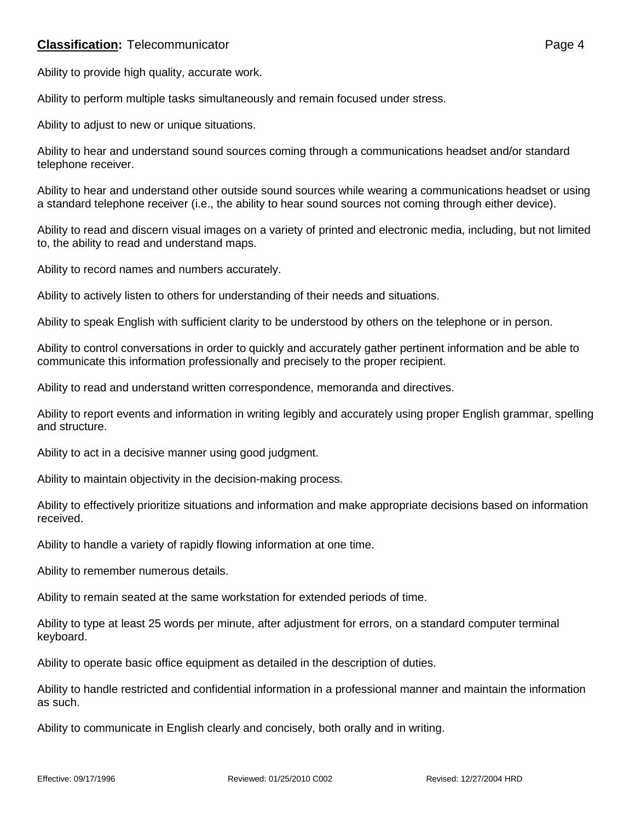Ability to provide high quality, accurate work.

Ability to perform multiple tasks simultaneously and remain focused under stress.

Ability to adjust to new or unique situations.

Ability to hear and understand sound sources coming through a communications headset and/or standard telephone receiver.

Ability to hear and understand other outside sound sources while wearing a communications headset or using a standard telephone receiver (i.e., the ability to hear sound sources not coming through either device).

Ability to read and discern visual images on a variety of printed and electronic media, including, but not limited to, the ability to read and understand maps.

Ability to record names and numbers accurately.

Ability to actively listen to others for understanding of their needs and situations.

Ability to speak English with sufficient clarity to be understood by others on the telephone or in person.

Ability to control conversations in order to quickly and accurately gather pertinent information and be able to communicate this information professionally and precisely to the proper recipient.

Ability to read and understand written correspondence, memoranda and directives.

Ability to report events and information in writing legibly and accurately using proper English grammar, spelling and structure.

Ability to act in a decisive manner using good judgment.

Ability to maintain objectivity in the decision-making process.

Ability to effectively prioritize situations and information and make appropriate decisions based on information received.

Ability to handle a variety of rapidly flowing information at one time.

Ability to remember numerous details.

Ability to remain seated at the same workstation for extended periods of time.

Ability to type at least 25 words per minute, after adjustment for errors, on a standard computer terminal keyboard.

Ability to operate basic office equipment as detailed in the description of duties.

Ability to handle restricted and confidential information in a professional manner and maintain the information as such.

Ability to communicate in English clearly and concisely, both orally and in writing.